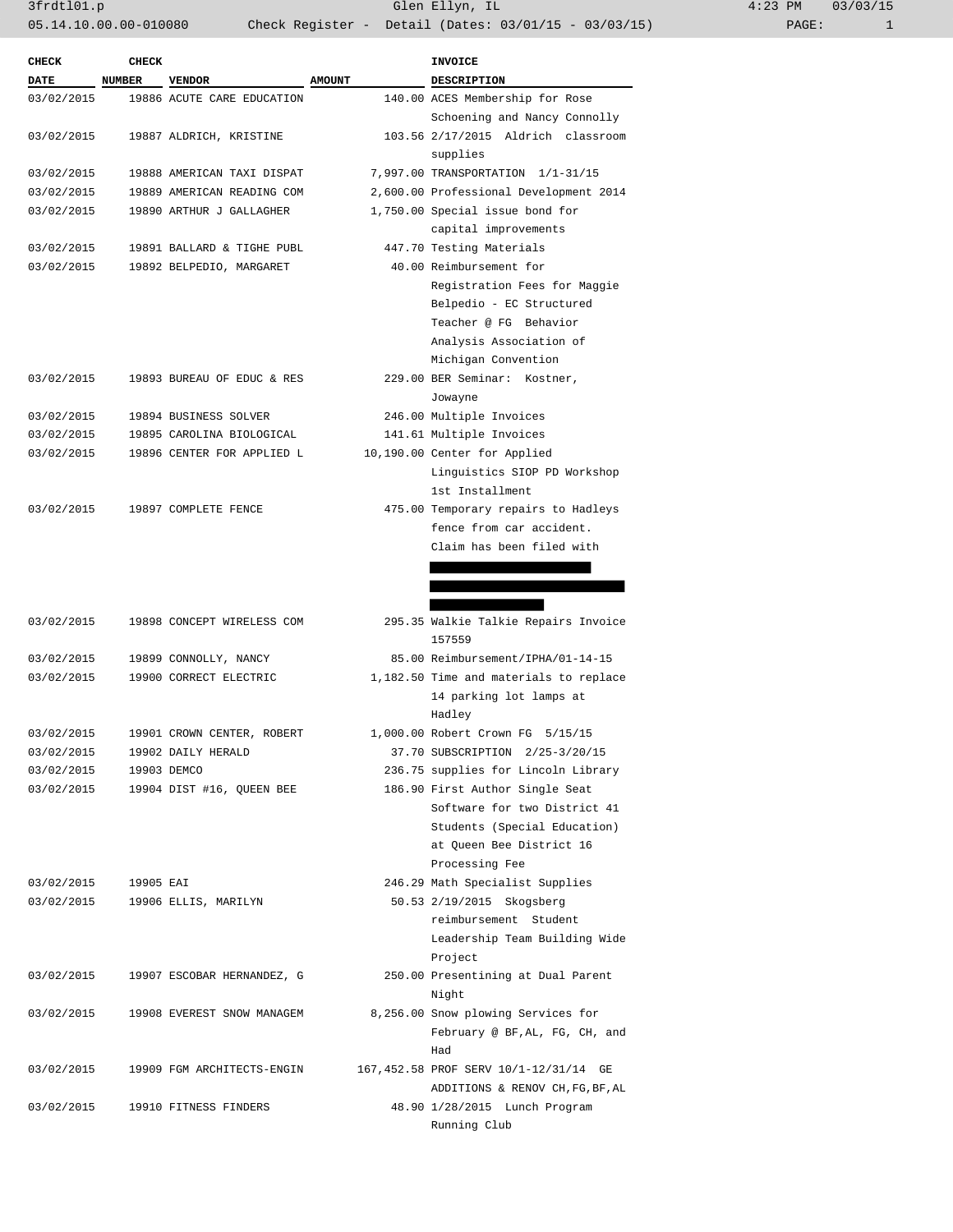$3frdt101.p$  Glen Ellyn, IL 05.14.10.00.00-010080 Check Register - Detail (Dates: 03/01/15 - 03/03/15)

| $4:23$ PM |       | 03/03/15 |
|-----------|-------|----------|
|           | PAGE: |          |

| <b>CHECK</b> | <b>CHECK</b> |                            |               | INVOICE                                |
|--------------|--------------|----------------------------|---------------|----------------------------------------|
| <b>DATE</b>  | NUMBER       | <b>VENDOR</b>              | <b>AMOUNT</b> | <b>DESCRIPTION</b>                     |
| 03/02/2015   |              | 19886 ACUTE CARE EDUCATION |               | 140.00 ACES Membership for Rose        |
|              |              |                            |               | Schoening and Nancy Connolly           |
| 03/02/2015   |              | 19887 ALDRICH, KRISTINE    |               | 103.56 2/17/2015 Aldrich classroom     |
|              |              |                            |               | supplies                               |
| 03/02/2015   |              | 19888 AMERICAN TAXI DISPAT |               | 7,997.00 TRANSPORTATION 1/1-31/15      |
| 03/02/2015   |              | 19889 AMERICAN READING COM |               | 2,600.00 Professional Development 2014 |
| 03/02/2015   |              | 19890 ARTHUR J GALLAGHER   |               | 1,750.00 Special issue bond for        |
|              |              |                            |               | capital improvements                   |
| 03/02/2015   |              | 19891 BALLARD & TIGHE PUBL |               | 447.70 Testing Materials               |
| 03/02/2015   |              | 19892 BELPEDIO, MARGARET   |               | 40.00 Reimbursement for                |
|              |              |                            |               | Registration Fees for Maggie           |
|              |              |                            |               | Belpedio - EC Structured               |
|              |              |                            |               | Teacher @ FG Behavior                  |
|              |              |                            |               | Analysis Association of                |
|              |              |                            |               | Michigan Convention                    |
| 03/02/2015   |              | 19893 BUREAU OF EDUC & RES |               | 229.00 BER Seminar: Kostner,           |
|              |              |                            |               | Jowayne                                |
| 03/02/2015   |              | 19894 BUSINESS SOLVER      |               | 246.00 Multiple Invoices               |
| 03/02/2015   |              | 19895 CAROLINA BIOLOGICAL  |               | 141.61 Multiple Invoices               |
| 03/02/2015   |              | 19896 CENTER FOR APPLIED L |               | 10,190.00 Center for Applied           |
|              |              |                            |               | Linguistics SIOP PD Workshop           |
|              |              |                            |               | 1st Installment                        |
| 03/02/2015   |              | 19897 COMPLETE FENCE       |               | 475.00 Temporary repairs to Hadleys    |
|              |              |                            |               | fence from car accident.               |
|              |              |                            |               | Claim has been filed with              |
|              |              |                            |               |                                        |
|              |              |                            |               |                                        |
|              |              |                            |               |                                        |
| 03/02/2015   |              | 19898 CONCEPT WIRELESS COM |               | 295.35 Walkie Talkie Repairs Invoice   |
|              |              |                            |               | 157559                                 |
| 03/02/2015   |              | 19899 CONNOLLY, NANCY      |               | 85.00 Reimbursement/IPHA/01-14-15      |
| 03/02/2015   |              | 19900 CORRECT ELECTRIC     |               | 1,182.50 Time and materials to replace |
|              |              |                            |               | 14 parking lot lamps at                |
|              |              |                            |               |                                        |
|              |              |                            |               | Hadley                                 |
| 03/02/2015   |              | 19901 CROWN CENTER, ROBERT |               | 1,000.00 Robert Crown FG 5/15/15       |
| 03/02/2015   |              | 19902 DAILY HERALD         |               | 37.70 SUBSCRIPTION 2/25-3/20/15        |
| 03/02/2015   |              | 19903 DEMCO                |               | 236.75 supplies for Lincoln Library    |
| 03/02/2015   |              | 19904 DIST #16, QUEEN BEE  |               | 186.90 First Author Single Seat        |
|              |              |                            |               | Software for two District 41           |
|              |              |                            |               | Students (Special Education)           |
|              |              |                            |               | at Queen Bee District 16               |
|              |              |                            |               | Processing Fee                         |
| 03/02/2015   | 19905 EAI    |                            |               | 246.29 Math Specialist Supplies        |
| 03/02/2015   |              | 19906 ELLIS, MARILYN       |               | 50.53 2/19/2015 Skogsberg              |
|              |              |                            |               | reimbursement Student                  |
|              |              |                            |               | Leadership Team Building Wide          |
|              |              |                            |               | Project                                |
| 03/02/2015   |              | 19907 ESCOBAR HERNANDEZ, G |               | 250.00 Presentining at Dual Parent     |
|              |              |                            |               | Night                                  |
| 03/02/2015   |              | 19908 EVEREST SNOW MANAGEM |               | 8,256.00 Snow plowing Services for     |
|              |              |                            |               | February @ BF, AL, FG, CH, and         |
|              |              |                            |               | Had                                    |
| 03/02/2015   |              | 19909 FGM ARCHITECTS-ENGIN |               | 167,452.58 PROF SERV 10/1-12/31/14 GE  |
|              |              |                            |               | ADDITIONS & RENOV CH, FG, BF, AL       |
| 03/02/2015   |              | 19910 FITNESS FINDERS      |               | 48.90 1/28/2015 Lunch Program          |
|              |              |                            |               | Running Club                           |
|              |              |                            |               |                                        |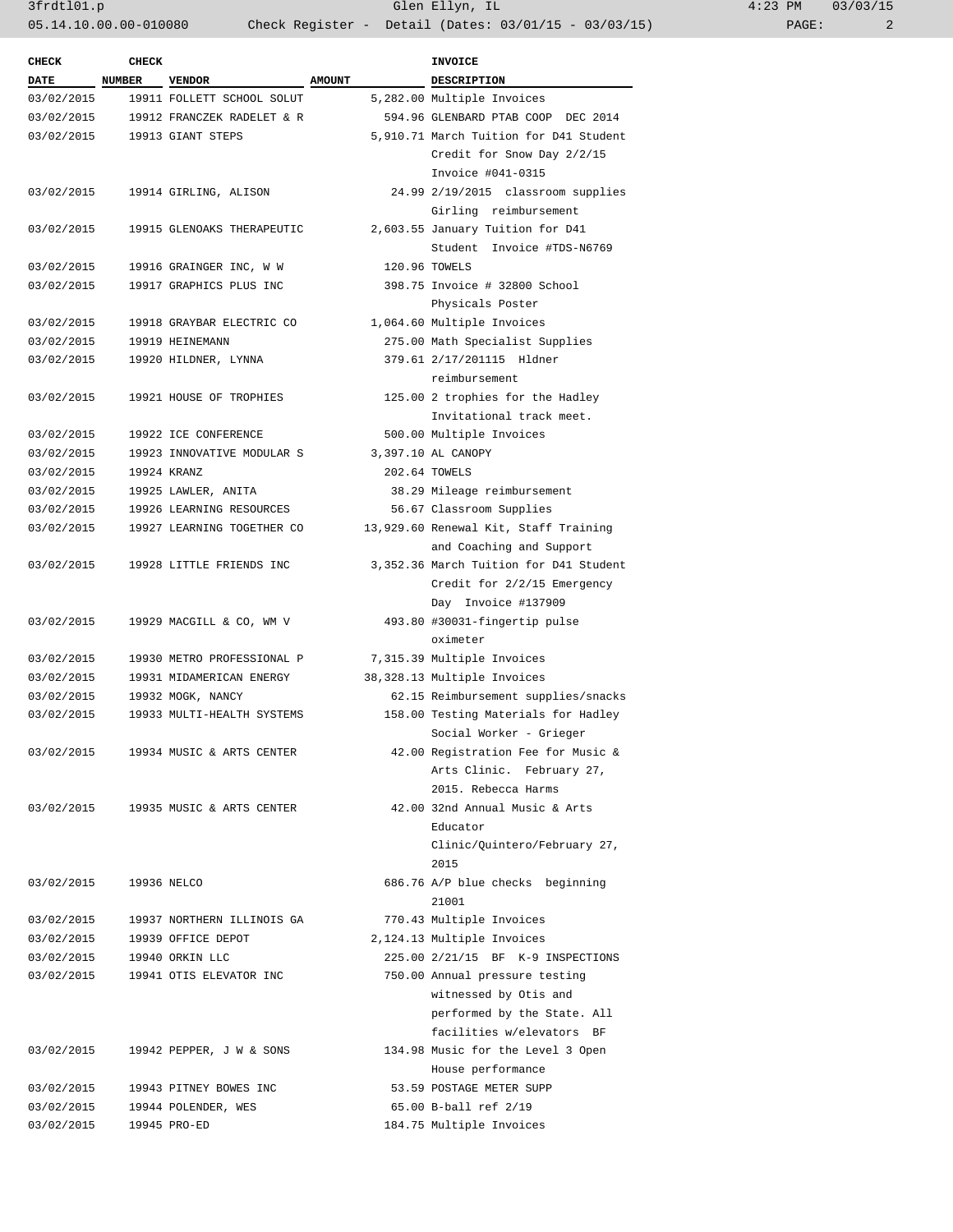| :23 PM |       | 03/03/15 |  |  |
|--------|-------|----------|--|--|
|        | PAGE: |          |  |  |

| <b>CHECK</b>           | <b>CHECK</b> |                                      |               | <b>INVOICE</b>                         |
|------------------------|--------------|--------------------------------------|---------------|----------------------------------------|
| <b>DATE</b>            | NUMBER       | <b>VENDOR</b>                        | <b>AMOUNT</b> | <b>DESCRIPTION</b>                     |
| 03/02/2015             |              | 19911 FOLLETT SCHOOL SOLUT           |               | 5,282.00 Multiple Invoices             |
| 03/02/2015             |              | 19912 FRANCZEK RADELET & R           |               | 594.96 GLENBARD PTAB COOP DEC 2014     |
| 03/02/2015             |              | 19913 GIANT STEPS                    |               | 5,910.71 March Tuition for D41 Student |
|                        |              |                                      |               | Credit for Snow Day 2/2/15             |
|                        |              |                                      |               | Invoice #041-0315                      |
| 03/02/2015             |              | 19914 GIRLING, ALISON                |               | 24.99 2/19/2015 classroom supplies     |
|                        |              |                                      |               | Girling reimbursement                  |
| 03/02/2015             |              | 19915 GLENOAKS THERAPEUTIC           |               | 2,603.55 January Tuition for D41       |
|                        |              |                                      |               | Student Invoice #TDS-N6769             |
| 03/02/2015             |              | 19916 GRAINGER INC, W W              |               | 120.96 TOWELS                          |
| 03/02/2015             |              | 19917 GRAPHICS PLUS INC              |               | 398.75 Invoice # 32800 School          |
|                        |              |                                      |               | Physicals Poster                       |
| 03/02/2015             |              | 19918 GRAYBAR ELECTRIC CO            |               | 1,064.60 Multiple Invoices             |
| 03/02/2015             |              | 19919 HEINEMANN                      |               | 275.00 Math Specialist Supplies        |
| 03/02/2015             |              | 19920 HILDNER, LYNNA                 |               | 379.61 2/17/201115 Hldner              |
|                        |              |                                      |               | reimbursement                          |
| 03/02/2015             |              | 19921 HOUSE OF TROPHIES              |               | 125.00 2 trophies for the Hadley       |
|                        |              |                                      |               | Invitational track meet.               |
| 03/02/2015             |              | 19922 ICE CONFERENCE                 |               | 500.00 Multiple Invoices               |
| 03/02/2015             |              | 19923 INNOVATIVE MODULAR S           |               | 3,397.10 AL CANOPY                     |
| 03/02/2015             |              | 19924 KRANZ                          |               | 202.64 TOWELS                          |
| 03/02/2015             |              | 19925 LAWLER, ANITA                  |               | 38.29 Mileage reimbursement            |
| 03/02/2015             |              | 19926 LEARNING RESOURCES             |               | 56.67 Classroom Supplies               |
| 03/02/2015             |              | 19927 LEARNING TOGETHER CO           |               | 13,929.60 Renewal Kit, Staff Training  |
|                        |              |                                      |               | and Coaching and Support               |
| 03/02/2015             |              | 19928 LITTLE FRIENDS INC             |               | 3,352.36 March Tuition for D41 Student |
|                        |              |                                      |               | Credit for 2/2/15 Emergency            |
|                        |              |                                      |               | Day Invoice #137909                    |
| 03/02/2015             |              | 19929 MACGILL & CO, WM V             |               | 493.80 #30031-fingertip pulse          |
|                        |              |                                      |               | oximeter                               |
| 03/02/2015             |              | 19930 METRO PROFESSIONAL P           |               | 7,315.39 Multiple Invoices             |
| 03/02/2015             |              | 19931 MIDAMERICAN ENERGY             |               | 38,328.13 Multiple Invoices            |
| 03/02/2015             |              | 19932 MOGK, NANCY                    |               | 62.15 Reimbursement supplies/snacks    |
| 03/02/2015             |              | 19933 MULTI-HEALTH SYSTEMS           |               | 158.00 Testing Materials for Hadley    |
|                        |              |                                      |               | Social Worker - Grieger                |
| 03/02/2015             |              | 19934 MUSIC & ARTS CENTER            |               | 42.00 Registration Fee for Music &     |
|                        |              |                                      |               | Arts Clinic. February 27,              |
|                        |              |                                      |               | 2015. Rebecca Harms                    |
|                        |              | 03/02/2015 19935 MUSIC & ARTS CENTER |               | 42.00 32nd Annual Music & Arts         |
|                        |              |                                      |               | Educator                               |
|                        |              |                                      |               | Clinic/Quintero/February 27,           |
|                        |              |                                      |               | 2015                                   |
| 03/02/2015 19936 NELCO |              |                                      |               | 686.76 A/P blue checks beginning       |
|                        |              |                                      |               | 21001                                  |
| 03/02/2015             |              | 19937 NORTHERN ILLINOIS GA           |               | 770.43 Multiple Invoices               |
| 03/02/2015             |              | 19939 OFFICE DEPOT                   |               | 2,124.13 Multiple Invoices             |
| 03/02/2015             |              | 19940 ORKIN LLC                      |               | 225.00 2/21/15 BF K-9 INSPECTIONS      |
| 03/02/2015             |              | 19941 OTIS ELEVATOR INC              |               | 750.00 Annual pressure testing         |
|                        |              |                                      |               | witnessed by Otis and                  |
|                        |              |                                      |               | performed by the State. All            |
|                        |              |                                      |               | facilities w/elevators BF              |
| 03/02/2015             |              | 19942 PEPPER, J W & SONS             |               | 134.98 Music for the Level 3 Open      |
|                        |              |                                      |               | House performance                      |
| 03/02/2015             |              | 19943 PITNEY BOWES INC               |               | 53.59 POSTAGE METER SUPP               |
| 03/02/2015             |              | 19944 POLENDER, WES                  |               | 65.00 B-ball ref 2/19                  |
| 03/02/2015             |              | 19945 PRO-ED                         |               | 184.75 Multiple Invoices               |
|                        |              |                                      |               |                                        |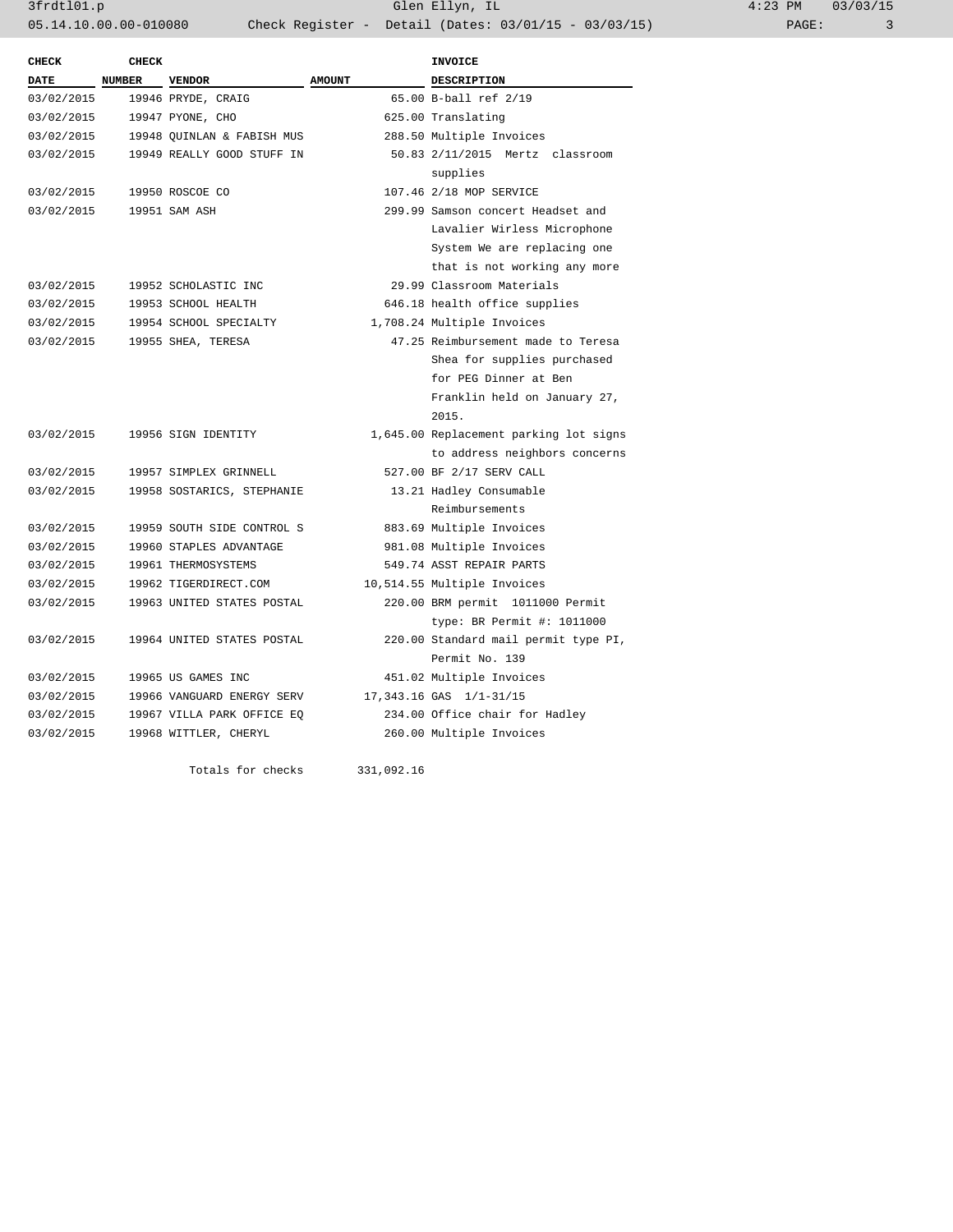3frdtl01.p Glen Ellyn, IL 4:23 PM 03/03/15 05.14.10.00.00-010080 Check Register - Detail (Dates: 03/01/15 - 03/03/15)

| <b>CHECK</b> | <b>CHECK</b> |                            |                                 | <b>INVOICE</b>                         |  |
|--------------|--------------|----------------------------|---------------------------------|----------------------------------------|--|
| <b>DATE</b>  | NUMBER       | <b>VENDOR</b>              | <b>AMOUNT</b>                   | DESCRIPTION                            |  |
| 03/02/2015   |              | 19946 PRYDE, CRAIG         |                                 | 65.00 B-ball ref 2/19                  |  |
| 03/02/2015   |              | 19947 PYONE, CHO           | 625.00 Translating              |                                        |  |
| 03/02/2015   |              | 19948 OUINLAN & FABISH MUS | 288.50 Multiple Invoices        |                                        |  |
| 03/02/2015   |              | 19949 REALLY GOOD STUFF IN | 50.83 2/11/2015 Mertz classroom |                                        |  |
|              |              |                            |                                 | supplies                               |  |
| 03/02/2015   |              | 19950 ROSCOE CO            |                                 | 107.46 2/18 MOP SERVICE                |  |
| 03/02/2015   |              | 19951 SAM ASH              |                                 | 299.99 Samson concert Headset and      |  |
|              |              |                            |                                 | Lavalier Wirless Microphone            |  |
|              |              |                            |                                 | System We are replacing one            |  |
|              |              |                            |                                 | that is not working any more           |  |
| 03/02/2015   |              | 19952 SCHOLASTIC INC       |                                 | 29.99 Classroom Materials              |  |
| 03/02/2015   |              | 19953 SCHOOL HEALTH        |                                 | 646.18 health office supplies          |  |
| 03/02/2015   |              | 19954 SCHOOL SPECIALTY     |                                 | 1,708.24 Multiple Invoices             |  |
| 03/02/2015   |              | 19955 SHEA, TERESA         |                                 | 47.25 Reimbursement made to Teresa     |  |
|              |              |                            |                                 | Shea for supplies purchased            |  |
|              |              |                            |                                 | for PEG Dinner at Ben                  |  |
|              |              |                            |                                 | Franklin held on January 27,           |  |
|              |              |                            |                                 | 2015.                                  |  |
| 03/02/2015   |              | 19956 SIGN IDENTITY        |                                 | 1,645.00 Replacement parking lot signs |  |
|              |              |                            |                                 | to address neighbors concerns          |  |
| 03/02/2015   |              | 19957 SIMPLEX GRINNELL     |                                 | 527.00 BF 2/17 SERV CALL               |  |
| 03/02/2015   |              | 19958 SOSTARICS, STEPHANIE |                                 | 13.21 Hadley Consumable                |  |
|              |              |                            |                                 | Reimbursements                         |  |
| 03/02/2015   |              | 19959 SOUTH SIDE CONTROL S |                                 | 883.69 Multiple Invoices               |  |
| 03/02/2015   |              | 19960 STAPLES ADVANTAGE    | 981.08 Multiple Invoices        |                                        |  |
| 03/02/2015   |              | 19961 THERMOSYSTEMS        | 549.74 ASST REPAIR PARTS        |                                        |  |
| 03/02/2015   |              | 19962 TIGERDIRECT.COM      | 10,514.55 Multiple Invoices     |                                        |  |
| 03/02/2015   |              | 19963 UNITED STATES POSTAL |                                 | 220.00 BRM permit 1011000 Permit       |  |
|              |              |                            |                                 | type: BR Permit #: 1011000             |  |
| 03/02/2015   |              | 19964 UNITED STATES POSTAL |                                 | 220.00 Standard mail permit type PI,   |  |
|              |              |                            |                                 | Permit No. 139                         |  |
| 03/02/2015   |              | 19965 US GAMES INC         |                                 | 451.02 Multiple Invoices               |  |
| 03/02/2015   |              | 19966 VANGUARD ENERGY SERV |                                 | 17,343.16 GAS 1/1-31/15                |  |
| 03/02/2015   |              | 19967 VILLA PARK OFFICE EQ |                                 | 234.00 Office chair for Hadley         |  |
| 03/02/2015   |              | 19968 WITTLER, CHERYL      |                                 | 260.00 Multiple Invoices               |  |
|              |              |                            |                                 |                                        |  |
|              |              | Totals for checks          | 331,092.16                      |                                        |  |